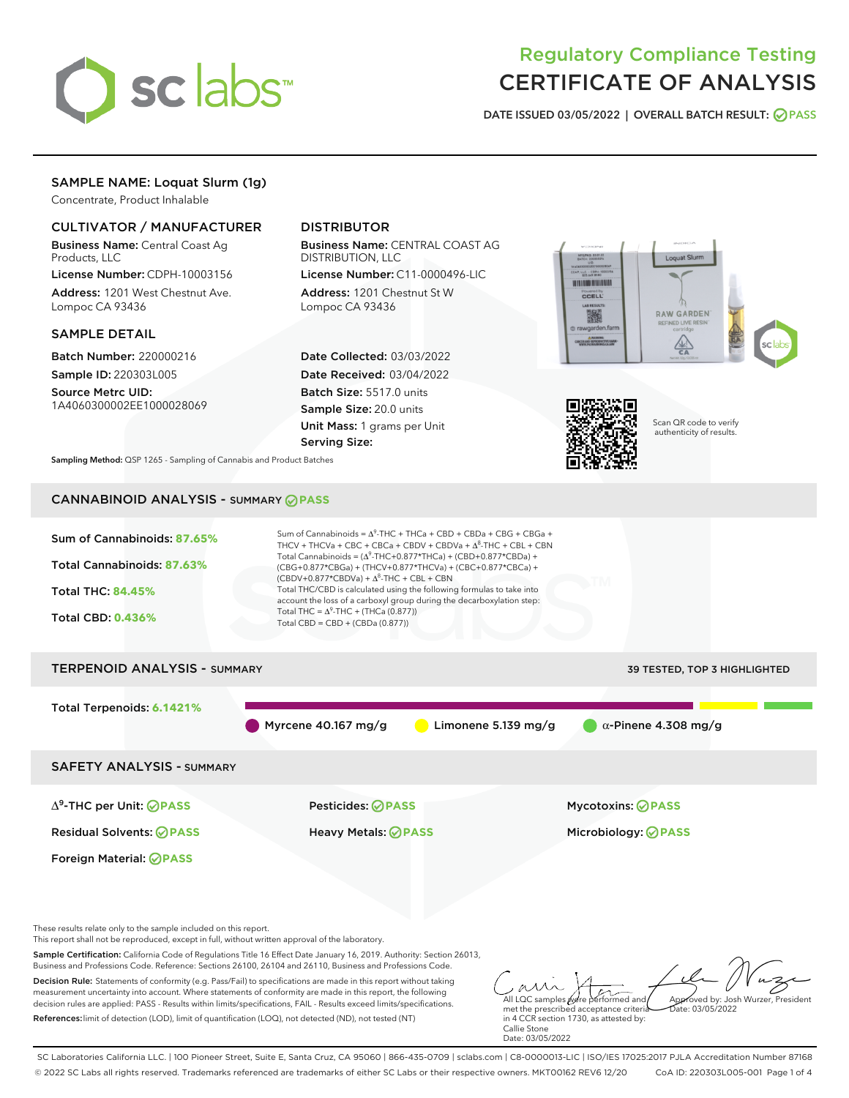

# Regulatory Compliance Testing CERTIFICATE OF ANALYSIS

DATE ISSUED 03/05/2022 | OVERALL BATCH RESULT: @ PASS

## SAMPLE NAME: Loquat Slurm (1g)

Concentrate, Product Inhalable

## CULTIVATOR / MANUFACTURER

Business Name: Central Coast Ag Products, LLC

License Number: CDPH-10003156 Address: 1201 West Chestnut Ave. Lompoc CA 93436

#### SAMPLE DETAIL

Batch Number: 220000216 Sample ID: 220303L005

Source Metrc UID: 1A4060300002EE1000028069

## DISTRIBUTOR

Business Name: CENTRAL COAST AG DISTRIBUTION, LLC

License Number: C11-0000496-LIC Address: 1201 Chestnut St W Lompoc CA 93436

Date Collected: 03/03/2022 Date Received: 03/04/2022 Batch Size: 5517.0 units Sample Size: 20.0 units Unit Mass: 1 grams per Unit Serving Size:





Scan QR code to verify authenticity of results.

Sampling Method: QSP 1265 - Sampling of Cannabis and Product Batches

## CANNABINOID ANALYSIS - SUMMARY **PASS**



References:limit of detection (LOD), limit of quantification (LOQ), not detected (ND), not tested (NT)

in 4 CCR section 1730, as attested by: Callie Stone Date: 03/05/2022

SC Laboratories California LLC. | 100 Pioneer Street, Suite E, Santa Cruz, CA 95060 | 866-435-0709 | sclabs.com | C8-0000013-LIC | ISO/IES 17025:2017 PJLA Accreditation Number 87168 © 2022 SC Labs all rights reserved. Trademarks referenced are trademarks of either SC Labs or their respective owners. MKT00162 REV6 12/20 CoA ID: 220303L005-001 Page 1 of 4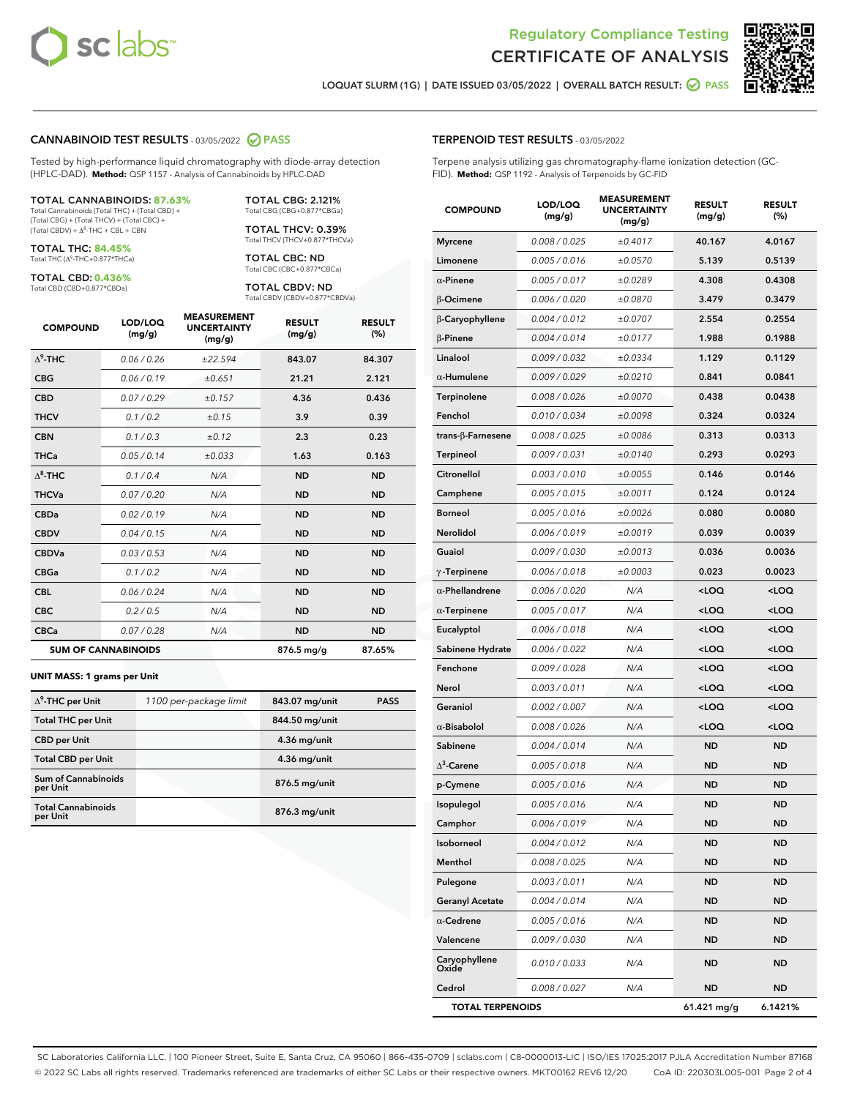



LOQUAT SLURM (1G) | DATE ISSUED 03/05/2022 | OVERALL BATCH RESULT: @ PASS

#### CANNABINOID TEST RESULTS - 03/05/2022 2 PASS

Tested by high-performance liquid chromatography with diode-array detection (HPLC-DAD). **Method:** QSP 1157 - Analysis of Cannabinoids by HPLC-DAD

#### TOTAL CANNABINOIDS: **87.63%**

Total Cannabinoids (Total THC) + (Total CBD) + (Total CBG) + (Total THCV) + (Total CBC) +  $(Total CBDV) +  $\Delta^8$ -THC + CBL + CBN$ 

TOTAL THC: **84.45%** Total THC (Δ<sup>9</sup>-THC+0.877\*THCa)

TOTAL CBD: **0.436%**

Total CBD (CBD+0.877\*CBDa)

TOTAL CBG: 2.121% Total CBG (CBG+0.877\*CBGa)

TOTAL THCV: 0.39% Total THCV (THCV+0.877\*THCVa)

TOTAL CBC: ND Total CBC (CBC+0.877\*CBCa)

TOTAL CBDV: ND Total CBDV (CBDV+0.877\*CBDVa)

| <b>COMPOUND</b>  | LOD/LOQ<br>(mg/g)          | <b>MEASUREMENT</b><br><b>UNCERTAINTY</b><br>(mg/g) | <b>RESULT</b><br>(mg/g) | <b>RESULT</b><br>(%) |
|------------------|----------------------------|----------------------------------------------------|-------------------------|----------------------|
| $\Lambda^9$ -THC | 0.06/0.26                  | ±22.594                                            | 843.07                  | 84.307               |
| <b>CBG</b>       | 0.06/0.19                  | ±0.651                                             | 21.21                   | 2.121                |
| <b>CBD</b>       | 0.07/0.29                  | ±0.157                                             | 4.36                    | 0.436                |
| <b>THCV</b>      | 0.1/0.2                    | ±0.15                                              | 3.9                     | 0.39                 |
| <b>CBN</b>       | 0.1/0.3                    | ±0.12                                              | 2.3                     | 0.23                 |
| <b>THCa</b>      | 0.05/0.14                  | ±0.033                                             | 1.63                    | 0.163                |
| $\Delta^8$ -THC  | 0.1/0.4                    | N/A                                                | <b>ND</b>               | <b>ND</b>            |
| <b>THCVa</b>     | 0.07/0.20                  | N/A                                                | <b>ND</b>               | <b>ND</b>            |
| <b>CBDa</b>      | 0.02/0.19                  | N/A                                                | <b>ND</b>               | <b>ND</b>            |
| <b>CBDV</b>      | 0.04/0.15                  | N/A                                                | <b>ND</b>               | <b>ND</b>            |
| <b>CBDVa</b>     | 0.03/0.53                  | N/A                                                | <b>ND</b>               | <b>ND</b>            |
| <b>CBGa</b>      | 0.1/0.2                    | N/A                                                | <b>ND</b>               | <b>ND</b>            |
| <b>CBL</b>       | 0.06 / 0.24                | N/A                                                | <b>ND</b>               | <b>ND</b>            |
| <b>CBC</b>       | 0.2 / 0.5                  | N/A                                                | <b>ND</b>               | <b>ND</b>            |
| <b>CBCa</b>      | 0.07/0.28                  | N/A                                                | <b>ND</b>               | <b>ND</b>            |
|                  | <b>SUM OF CANNABINOIDS</b> |                                                    | 876.5 mg/g              | 87.65%               |

#### **UNIT MASS: 1 grams per Unit**

| $\Delta^9$ -THC per Unit               | 1100 per-package limit | 843.07 mg/unit | <b>PASS</b> |
|----------------------------------------|------------------------|----------------|-------------|
| <b>Total THC per Unit</b>              |                        | 844.50 mg/unit |             |
| <b>CBD per Unit</b>                    |                        | 4.36 mg/unit   |             |
| <b>Total CBD per Unit</b>              |                        | $4.36$ mg/unit |             |
| <b>Sum of Cannabinoids</b><br>per Unit |                        | 876.5 mg/unit  |             |
| <b>Total Cannabinoids</b><br>per Unit  |                        | 876.3 mg/unit  |             |

#### TERPENOID TEST RESULTS - 03/05/2022

Terpene analysis utilizing gas chromatography-flame ionization detection (GC-FID). **Method:** QSP 1192 - Analysis of Terpenoids by GC-FID

| <b>COMPOUND</b>           | LOD/LOQ<br>(mg/g) | <b>MEASUREMENT</b><br><b>UNCERTAINTY</b><br>(mg/g) | <b>RESULT</b><br>(mg/g)                          | <b>RESULT</b><br>(%) |
|---------------------------|-------------------|----------------------------------------------------|--------------------------------------------------|----------------------|
| <b>Myrcene</b>            | 0.008 / 0.025     | ±0.4017                                            | 40.167                                           | 4.0167               |
| Limonene                  | 0.005 / 0.016     | ±0.0570                                            | 5.139                                            | 0.5139               |
| $\alpha$ -Pinene          | 0.005 / 0.017     | ±0.0289                                            | 4.308                                            | 0.4308               |
| <b>B-Ocimene</b>          | 0.006 / 0.020     | ±0.0870                                            | 3.479                                            | 0.3479               |
| β-Caryophyllene           | 0.004 / 0.012     | ±0.0707                                            | 2.554                                            | 0.2554               |
| $\beta$ -Pinene           | 0.004 / 0.014     | ±0.0177                                            | 1.988                                            | 0.1988               |
| Linalool                  | 0.009 / 0.032     | ±0.0334                                            | 1.129                                            | 0.1129               |
| $\alpha$ -Humulene        | 0.009/0.029       | ±0.0210                                            | 0.841                                            | 0.0841               |
| Terpinolene               | 0.008 / 0.026     | ±0.0070                                            | 0.438                                            | 0.0438               |
| Fenchol                   | 0.010 / 0.034     | ±0.0098                                            | 0.324                                            | 0.0324               |
| trans- $\beta$ -Farnesene | 0.008 / 0.025     | ±0.0086                                            | 0.313                                            | 0.0313               |
| Terpineol                 | 0.009 / 0.031     | ±0.0140                                            | 0.293                                            | 0.0293               |
| Citronellol               | 0.003 / 0.010     | ±0.0055                                            | 0.146                                            | 0.0146               |
| Camphene                  | 0.005 / 0.015     | ±0.0011                                            | 0.124                                            | 0.0124               |
| <b>Borneol</b>            | 0.005 / 0.016     | ±0.0026                                            | 0.080                                            | 0.0080               |
| Nerolidol                 | 0.006 / 0.019     | ±0.0019                                            | 0.039                                            | 0.0039               |
| Guaiol                    | 0.009 / 0.030     | ±0.0013                                            | 0.036                                            | 0.0036               |
| $\gamma$ -Terpinene       | 0.006 / 0.018     | ±0.0003                                            | 0.023                                            | 0.0023               |
| $\alpha$ -Phellandrene    | 0.006 / 0.020     | N/A                                                | <loq< th=""><th><loq< th=""></loq<></th></loq<>  | <loq< th=""></loq<>  |
| $\alpha$ -Terpinene       | 0.005 / 0.017     | N/A                                                | <loq< th=""><th><loq< th=""></loq<></th></loq<>  | <loq< th=""></loq<>  |
| Eucalyptol                | 0.006 / 0.018     | N/A                                                | <loq< th=""><th><loq< th=""></loq<></th></loq<>  | <loq< th=""></loq<>  |
| Sabinene Hydrate          | 0.006 / 0.022     | N/A                                                | <loq< th=""><th><loq< th=""></loq<></th></loq<>  | <loq< th=""></loq<>  |
| Fenchone                  | 0.009 / 0.028     | N/A                                                | <loq< th=""><th><loq< th=""></loq<></th></loq<>  | <loq< th=""></loq<>  |
| Nerol                     | 0.003 / 0.011     | N/A                                                | <loq< th=""><th><loq< th=""></loq<></th></loq<>  | <loq< th=""></loq<>  |
| Geraniol                  | 0.002 / 0.007     | N/A                                                | <loq< th=""><th><loq< th=""></loq<></th></loq<>  | <loq< th=""></loq<>  |
| $\alpha$ -Bisabolol       | 0.008 / 0.026     | N/A                                                | <loq< th=""><th><math>&lt;</math>LOQ</th></loq<> | $<$ LOQ              |
| Sabinene                  | 0.004 / 0.014     | N/A                                                | ND                                               | ND                   |
| $\Delta^3$ -Carene        | 0.005 / 0.018     | N/A                                                | <b>ND</b>                                        | ND                   |
| p-Cymene                  | 0.005 / 0.016     | N/A                                                | ND                                               | <b>ND</b>            |
| Isopulegol                | 0.005 / 0.016     | N/A                                                | ND                                               | ND                   |
| Camphor                   | 0.006 / 0.019     | N/A                                                | ND                                               | ND                   |
| Isoborneol                | 0.004 / 0.012     | N/A                                                | ND                                               | ND                   |
| Menthol                   | 0.008 / 0.025     | N/A                                                | ND                                               | ND                   |
| Pulegone                  | 0.003 / 0.011     | N/A                                                | ND                                               | ND                   |
| <b>Geranyl Acetate</b>    | 0.004 / 0.014     | N/A                                                | ND                                               | ND                   |
| $\alpha$ -Cedrene         | 0.005 / 0.016     | N/A                                                | ND                                               | ND                   |
| Valencene                 | 0.009 / 0.030     | N/A                                                | ND                                               | ND                   |
| Caryophyllene<br>Oxide    | 0.010 / 0.033     | N/A                                                | ND                                               | ND                   |
| Cedrol                    | 0.008 / 0.027     | N/A                                                | ND                                               | ND                   |
| <b>TOTAL TERPENOIDS</b>   |                   |                                                    | 61.421 mg/g                                      | 6.1421%              |

SC Laboratories California LLC. | 100 Pioneer Street, Suite E, Santa Cruz, CA 95060 | 866-435-0709 | sclabs.com | C8-0000013-LIC | ISO/IES 17025:2017 PJLA Accreditation Number 87168 © 2022 SC Labs all rights reserved. Trademarks referenced are trademarks of either SC Labs or their respective owners. MKT00162 REV6 12/20 CoA ID: 220303L005-001 Page 2 of 4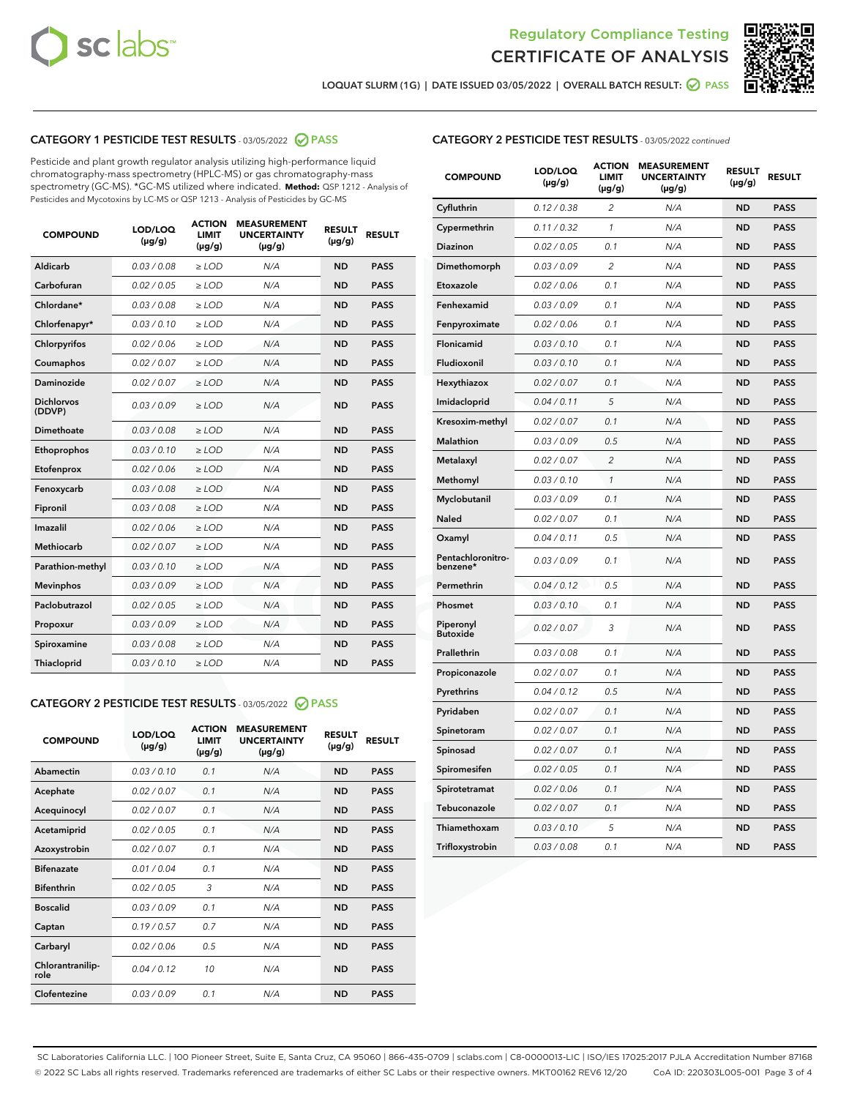



LOQUAT SLURM (1G) | DATE ISSUED 03/05/2022 | OVERALL BATCH RESULT: 2 PASS

## CATEGORY 1 PESTICIDE TEST RESULTS - 03/05/2022 2 PASS

Pesticide and plant growth regulator analysis utilizing high-performance liquid chromatography-mass spectrometry (HPLC-MS) or gas chromatography-mass spectrometry (GC-MS). \*GC-MS utilized where indicated. **Method:** QSP 1212 - Analysis of Pesticides and Mycotoxins by LC-MS or QSP 1213 - Analysis of Pesticides by GC-MS

| <b>COMPOUND</b>             | LOD/LOQ<br>$(\mu g/g)$ | <b>ACTION</b><br><b>LIMIT</b><br>$(\mu g/g)$ | <b>MEASUREMENT</b><br><b>UNCERTAINTY</b><br>$(\mu g/g)$ | <b>RESULT</b><br>$(\mu g/g)$ | <b>RESULT</b> |
|-----------------------------|------------------------|----------------------------------------------|---------------------------------------------------------|------------------------------|---------------|
| Aldicarb                    | 0.03 / 0.08            | $>$ LOD                                      | N/A                                                     | <b>ND</b>                    | <b>PASS</b>   |
| Carbofuran                  | 0.02 / 0.05            | ≥ LOD                                        | N/A                                                     | <b>ND</b>                    | <b>PASS</b>   |
| Chlordane*                  | 0.03/0.08              | $>$ LOD                                      | N/A                                                     | <b>ND</b>                    | <b>PASS</b>   |
| Chlorfenapyr*               | 0.03/0.10              | $>$ LOD                                      | N/A                                                     | <b>ND</b>                    | <b>PASS</b>   |
| Chlorpyrifos                | 0.02 / 0.06            | $>$ LOD                                      | N/A                                                     | <b>ND</b>                    | <b>PASS</b>   |
| Coumaphos                   | 0.02 / 0.07            | $>$ LOD                                      | N/A                                                     | <b>ND</b>                    | <b>PASS</b>   |
| <b>Daminozide</b>           | 0.02 / 0.07            | $\ge$ LOD                                    | N/A                                                     | <b>ND</b>                    | <b>PASS</b>   |
| <b>Dichlorvos</b><br>(DDVP) | 0.03/0.09              | $>$ LOD                                      | N/A                                                     | <b>ND</b>                    | <b>PASS</b>   |
| Dimethoate                  | 0.03 / 0.08            | $>$ LOD                                      | N/A                                                     | <b>ND</b>                    | <b>PASS</b>   |
| Ethoprophos                 | 0.03/0.10              | $>$ LOD                                      | N/A                                                     | <b>ND</b>                    | <b>PASS</b>   |
| Etofenprox                  | 0.02 / 0.06            | $\geq$ LOD                                   | N/A                                                     | <b>ND</b>                    | <b>PASS</b>   |
| Fenoxycarb                  | 0.03/0.08              | $>$ LOD                                      | N/A                                                     | <b>ND</b>                    | <b>PASS</b>   |
| Fipronil                    | 0.03 / 0.08            | $\geq$ LOD                                   | N/A                                                     | <b>ND</b>                    | <b>PASS</b>   |
| Imazalil                    | 0.02 / 0.06            | $\ge$ LOD                                    | N/A                                                     | <b>ND</b>                    | <b>PASS</b>   |
| <b>Methiocarb</b>           | 0.02 / 0.07            | $\ge$ LOD                                    | N/A                                                     | <b>ND</b>                    | <b>PASS</b>   |
| Parathion-methyl            | 0.03/0.10              | $\geq$ LOD                                   | N/A                                                     | <b>ND</b>                    | <b>PASS</b>   |
| <b>Mevinphos</b>            | 0.03/0.09              | $\ge$ LOD                                    | N/A                                                     | <b>ND</b>                    | <b>PASS</b>   |
| Paclobutrazol               | 0.02 / 0.05            | $\ge$ LOD                                    | N/A                                                     | <b>ND</b>                    | <b>PASS</b>   |
| Propoxur                    | 0.03/0.09              | $\geq$ LOD                                   | N/A                                                     | <b>ND</b>                    | <b>PASS</b>   |
| Spiroxamine                 | 0.03 / 0.08            | $\ge$ LOD                                    | N/A                                                     | <b>ND</b>                    | <b>PASS</b>   |
| Thiacloprid                 | 0.03/0.10              | $>$ LOD                                      | N/A                                                     | <b>ND</b>                    | <b>PASS</b>   |

## CATEGORY 2 PESTICIDE TEST RESULTS - 03/05/2022 2 PASS

| <b>COMPOUND</b>          | LOD/LOQ<br>$(\mu g/g)$ | <b>ACTION</b><br><b>LIMIT</b><br>$(\mu g/g)$ | <b>MEASUREMENT</b><br><b>UNCERTAINTY</b><br>$(\mu g/g)$ | <b>RESULT</b><br>$(\mu g/g)$ | <b>RESULT</b> |  |
|--------------------------|------------------------|----------------------------------------------|---------------------------------------------------------|------------------------------|---------------|--|
| Abamectin                | 0.03/0.10              | 0.1                                          | N/A                                                     | <b>ND</b>                    | <b>PASS</b>   |  |
| Acephate                 | 0.02/0.07              | 0.1                                          | N/A                                                     | <b>ND</b>                    | <b>PASS</b>   |  |
| Acequinocyl              | 0.02/0.07              | 0.1                                          | N/A                                                     | <b>ND</b>                    | <b>PASS</b>   |  |
| Acetamiprid              | 0.02/0.05              | 0.1                                          | N/A                                                     | <b>ND</b>                    | <b>PASS</b>   |  |
| Azoxystrobin             | 0.02/0.07              | 0.1                                          | N/A                                                     | <b>ND</b>                    | <b>PASS</b>   |  |
| <b>Bifenazate</b>        | 0.01/0.04              | 0.1                                          | N/A                                                     | <b>ND</b>                    | <b>PASS</b>   |  |
| <b>Bifenthrin</b>        | 0.02 / 0.05            | 3                                            | N/A                                                     | <b>ND</b>                    | <b>PASS</b>   |  |
| <b>Boscalid</b>          | 0.03/0.09              | 0.1                                          | N/A                                                     | <b>ND</b>                    | <b>PASS</b>   |  |
| Captan                   | 0.19/0.57              | 0.7                                          | N/A                                                     | <b>ND</b>                    | <b>PASS</b>   |  |
| Carbaryl                 | 0.02/0.06              | 0.5                                          | N/A                                                     | <b>ND</b>                    | <b>PASS</b>   |  |
| Chlorantranilip-<br>role | 0.04/0.12              | 10                                           | N/A                                                     | <b>ND</b>                    | <b>PASS</b>   |  |
| Clofentezine             | 0.03/0.09              | 0.1                                          | N/A                                                     | <b>ND</b>                    | <b>PASS</b>   |  |

## CATEGORY 2 PESTICIDE TEST RESULTS - 03/05/2022 continued

| <b>COMPOUND</b>               | LOD/LOQ<br>(µg/g) | <b>ACTION</b><br><b>LIMIT</b><br>(µg/g) | <b>MEASUREMENT</b><br><b>UNCERTAINTY</b><br>$(\mu g/g)$ | <b>RESULT</b><br>(µg/g) | <b>RESULT</b> |
|-------------------------------|-------------------|-----------------------------------------|---------------------------------------------------------|-------------------------|---------------|
| Cyfluthrin                    | 0.12 / 0.38       | $\overline{c}$                          | N/A                                                     | <b>ND</b>               | <b>PASS</b>   |
| Cypermethrin                  | 0.11 / 0.32       | $\mathcal{I}$                           | N/A                                                     | <b>ND</b>               | <b>PASS</b>   |
| <b>Diazinon</b>               | 0.02 / 0.05       | 0.1                                     | N/A                                                     | <b>ND</b>               | <b>PASS</b>   |
| Dimethomorph                  | 0.03 / 0.09       | $\overline{2}$                          | N/A                                                     | <b>ND</b>               | <b>PASS</b>   |
| Etoxazole                     | 0.02 / 0.06       | 0.1                                     | N/A                                                     | ND                      | PASS          |
| Fenhexamid                    | 0.03 / 0.09       | 0.1                                     | N/A                                                     | <b>ND</b>               | <b>PASS</b>   |
| Fenpyroximate                 | 0.02 / 0.06       | 0.1                                     | N/A                                                     | <b>ND</b>               | <b>PASS</b>   |
| Flonicamid                    | 0.03 / 0.10       | 0.1                                     | N/A                                                     | <b>ND</b>               | <b>PASS</b>   |
| Fludioxonil                   | 0.03 / 0.10       | 0.1                                     | N/A                                                     | <b>ND</b>               | <b>PASS</b>   |
| Hexythiazox                   | 0.02 / 0.07       | 0.1                                     | N/A                                                     | ND                      | <b>PASS</b>   |
| Imidacloprid                  | 0.04 / 0.11       | 5                                       | N/A                                                     | <b>ND</b>               | <b>PASS</b>   |
| Kresoxim-methyl               | 0.02 / 0.07       | 0.1                                     | N/A                                                     | <b>ND</b>               | <b>PASS</b>   |
| Malathion                     | 0.03 / 0.09       | 0.5                                     | N/A                                                     | <b>ND</b>               | <b>PASS</b>   |
| Metalaxyl                     | 0.02 / 0.07       | $\overline{c}$                          | N/A                                                     | <b>ND</b>               | PASS          |
| Methomyl                      | 0.03 / 0.10       | $\mathcal{I}$                           | N/A                                                     | ND                      | PASS          |
| Myclobutanil                  | 0.03 / 0.09       | 0.1                                     | N/A                                                     | <b>ND</b>               | <b>PASS</b>   |
| Naled                         | 0.02 / 0.07       | 0.1                                     | N/A                                                     | ND                      | <b>PASS</b>   |
| Oxamyl                        | 0.04 / 0.11       | 0.5                                     | N/A                                                     | ND                      | <b>PASS</b>   |
| Pentachloronitro-<br>benzene* | 0.03 / 0.09       | 0.1                                     | N/A                                                     | ND                      | <b>PASS</b>   |
| Permethrin                    | 0.04/0.12         | 0.5                                     | N/A                                                     | <b>ND</b>               | <b>PASS</b>   |
| Phosmet                       | 0.03 / 0.10       | 0.1                                     | N/A                                                     | <b>ND</b>               | <b>PASS</b>   |
| Piperonyl<br><b>Butoxide</b>  | 0.02 / 0.07       | 3                                       | N/A                                                     | <b>ND</b>               | <b>PASS</b>   |
| Prallethrin                   | 0.03 / 0.08       | 0.1                                     | N/A                                                     | <b>ND</b>               | <b>PASS</b>   |
| Propiconazole                 | 0.02 / 0.07       | 0.1                                     | N/A                                                     | ND                      | <b>PASS</b>   |
| Pyrethrins                    | 0.04 / 0.12       | 0.5                                     | N/A                                                     | <b>ND</b>               | <b>PASS</b>   |
| Pyridaben                     | 0.02 / 0.07       | 0.1                                     | N/A                                                     | <b>ND</b>               | <b>PASS</b>   |
| Spinetoram                    | 0.02 / 0.07       | 0.1                                     | N/A                                                     | <b>ND</b>               | PASS          |
| Spinosad                      | 0.02 / 0.07       | 0.1                                     | N/A                                                     | ND                      | PASS          |
| Spiromesifen                  | 0.02 / 0.05       | 0.1                                     | N/A                                                     | <b>ND</b>               | <b>PASS</b>   |
| Spirotetramat                 | 0.02 / 0.06       | 0.1                                     | N/A                                                     | <b>ND</b>               | <b>PASS</b>   |
| Tebuconazole                  | 0.02 / 0.07       | 0.1                                     | N/A                                                     | ND                      | <b>PASS</b>   |
| Thiamethoxam                  | 0.03 / 0.10       | 5                                       | N/A                                                     | ND                      | <b>PASS</b>   |
| Trifloxystrobin               | 0.03 / 0.08       | 0.1                                     | N/A                                                     | <b>ND</b>               | <b>PASS</b>   |

SC Laboratories California LLC. | 100 Pioneer Street, Suite E, Santa Cruz, CA 95060 | 866-435-0709 | sclabs.com | C8-0000013-LIC | ISO/IES 17025:2017 PJLA Accreditation Number 87168 © 2022 SC Labs all rights reserved. Trademarks referenced are trademarks of either SC Labs or their respective owners. MKT00162 REV6 12/20 CoA ID: 220303L005-001 Page 3 of 4